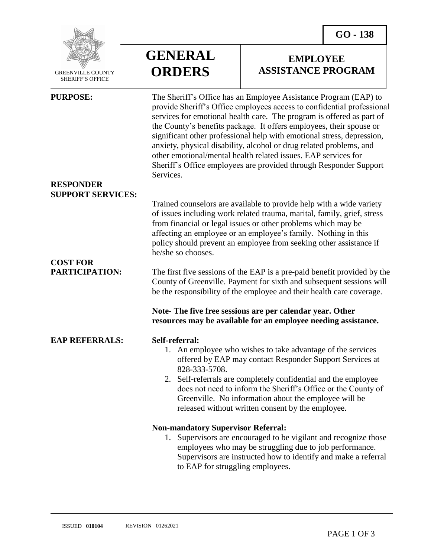**EMPLOYEE ASSISTANCE PROGRAM**



 GREENVILLE COUNTY SHERIFF'S OFFICE

| <b>PURPOSE:</b><br><b>RESPONDER</b>         | The Sheriff's Office has an Employee Assistance Program (EAP) to<br>provide Sheriff's Office employees access to confidential professional<br>services for emotional health care. The program is offered as part of<br>the County's benefits package. It offers employees, their spouse or<br>significant other professional help with emotional stress, depression,<br>anxiety, physical disability, alcohol or drug related problems, and<br>other emotional/mental health related issues. EAP services for<br>Sheriff's Office employees are provided through Responder Support<br>Services. |
|---------------------------------------------|-------------------------------------------------------------------------------------------------------------------------------------------------------------------------------------------------------------------------------------------------------------------------------------------------------------------------------------------------------------------------------------------------------------------------------------------------------------------------------------------------------------------------------------------------------------------------------------------------|
| <b>SUPPORT SERVICES:</b><br><b>COST FOR</b> | Trained counselors are available to provide help with a wide variety<br>of issues including work related trauma, marital, family, grief, stress<br>from financial or legal issues or other problems which may be<br>affecting an employee or an employee's family. Nothing in this<br>policy should prevent an employee from seeking other assistance if<br>he/she so chooses.                                                                                                                                                                                                                  |
| <b>PARTICIPATION:</b>                       | The first five sessions of the EAP is a pre-paid benefit provided by the<br>County of Greenville. Payment for sixth and subsequent sessions will<br>be the responsibility of the employee and their health care coverage.                                                                                                                                                                                                                                                                                                                                                                       |
|                                             | Note-The five free sessions are per calendar year. Other<br>resources may be available for an employee needing assistance.                                                                                                                                                                                                                                                                                                                                                                                                                                                                      |
| <b>EAP REFERRALS:</b>                       | Self-referral:<br>1. An employee who wishes to take advantage of the services<br>offered by EAP may contact Responder Support Services at<br>828-333-5708.<br>2. Self-referrals are completely confidential and the employee<br>does not need to inform the Sheriff's Office or the County of<br>Greenville. No information about the employee will be<br>released without written consent by the employee.                                                                                                                                                                                     |
|                                             | <b>Non-mandatory Supervisor Referral:</b><br>Supervisors are encouraged to be vigilant and recognize those<br>1.<br>employees who may be struggling due to job performance.<br>Supervisors are instructed how to identify and make a referral<br>to EAP for struggling employees.                                                                                                                                                                                                                                                                                                               |

**GENERAL**

**ORDERS**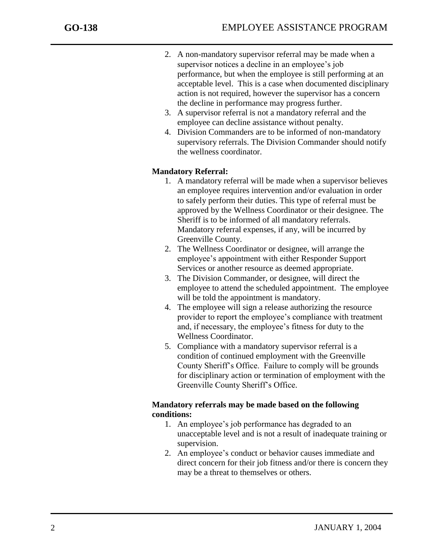j

- 2. A non-mandatory supervisor referral may be made when a supervisor notices a decline in an employee's job performance, but when the employee is still performing at an acceptable level. This is a case when documented disciplinary action is not required, however the supervisor has a concern the decline in performance may progress further.
- 3. A supervisor referral is not a mandatory referral and the employee can decline assistance without penalty.
- 4. Division Commanders are to be informed of non-mandatory supervisory referrals. The Division Commander should notify the wellness coordinator.

## **Mandatory Referral:**

- 1. A mandatory referral will be made when a supervisor believes an employee requires intervention and/or evaluation in order to safely perform their duties. This type of referral must be approved by the Wellness Coordinator or their designee. The Sheriff is to be informed of all mandatory referrals. Mandatory referral expenses, if any, will be incurred by Greenville County.
- 2. The Wellness Coordinator or designee, will arrange the employee's appointment with either Responder Support Services or another resource as deemed appropriate.
- 3. The Division Commander, or designee, will direct the employee to attend the scheduled appointment. The employee will be told the appointment is mandatory.
- 4. The employee will sign a release authorizing the resource provider to report the employee's compliance with treatment and, if necessary, the employee's fitness for duty to the Wellness Coordinator.
- 5. Compliance with a mandatory supervisor referral is a condition of continued employment with the Greenville County Sheriff's Office. Failure to comply will be grounds for disciplinary action or termination of employment with the Greenville County Sheriff's Office.

## **Mandatory referrals may be made based on the following conditions:**

- 1. An employee's job performance has degraded to an unacceptable level and is not a result of inadequate training or supervision.
- 2. An employee's conduct or behavior causes immediate and direct concern for their job fitness and/or there is concern they may be a threat to themselves or others.